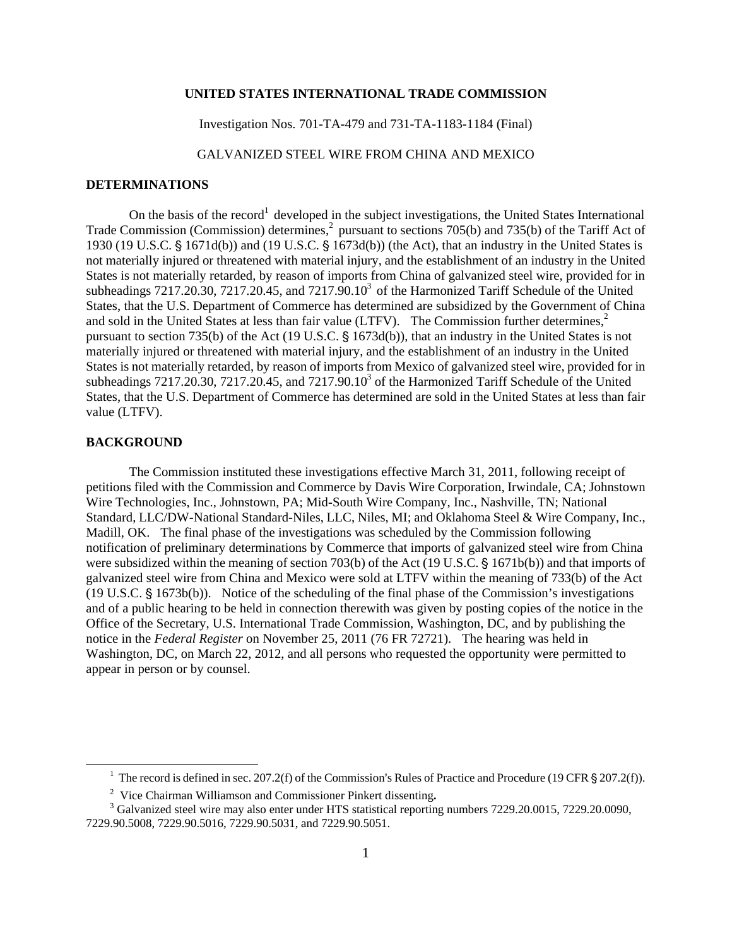## **UNITED STATES INTERNATIONAL TRADE COMMISSION**

Investigation Nos. 701-TA-479 and 731-TA-1183-1184 (Final)

GALVANIZED STEEL WIRE FROM CHINA AND MEXICO

## **DETERMINATIONS**

On the basis of the record<sup>1</sup> developed in the subject investigations, the United States International Trade Commission (Commission) determines,<sup>2</sup> pursuant to sections 705(b) and 735(b) of the Tariff Act of 1930 (19 U.S.C.  $\frac{6}{5}$  1671d(b)) and (19 U.S.C.  $\frac{6}{5}$  1673d(b)) (the Act), that an industry in the United States is not materially injured or threatened with material injury, and the establishment of an industry in the United States is not materially retarded, by reason of imports from China of galvanized steel wire, provided for in subheadings  $7217.20.30$ ,  $7217.20.45$ , and  $7217.90.10<sup>3</sup>$  of the Harmonized Tariff Schedule of the United States, that the U.S. Department of Commerce has determined are subsidized by the Government of China and sold in the United States at less than fair value (LTFV). The Commission further determines, $2\pi$ pursuant to section 735(b) of the Act (19 U.S.C. § 1673d(b)), that an industry in the United States is not materially injured or threatened with material injury, and the establishment of an industry in the United States is not materially retarded, by reason of imports from Mexico of galvanized steel wire, provided for in subheadings  $7217.20.30$ ,  $7217.20.45$ , and  $7217.90.10<sup>3</sup>$  of the Harmonized Tariff Schedule of the United States, that the U.S. Department of Commerce has determined are sold in the United States at less than fair value (LTFV).

## **BACKGROUND**

 $\overline{a}$ 

The Commission instituted these investigations effective March 31, 2011, following receipt of petitions filed with the Commission and Commerce by Davis Wire Corporation, Irwindale, CA; Johnstown Wire Technologies, Inc., Johnstown, PA; Mid-South Wire Company, Inc., Nashville, TN; National Standard, LLC/DW-National Standard-Niles, LLC, Niles, MI; and Oklahoma Steel & Wire Company, Inc., Madill, OK. The final phase of the investigations was scheduled by the Commission following notification of preliminary determinations by Commerce that imports of galvanized steel wire from China were subsidized within the meaning of section 703(b) of the Act (19 U.S.C.  $\S$  1671b(b)) and that imports of galvanized steel wire from China and Mexico were sold at LTFV within the meaning of 733(b) of the Act  $(19 \text{ U.S.C.} \S 1673b(b))$ . Notice of the scheduling of the final phase of the Commission's investigations and of a public hearing to be held in connection therewith was given by posting copies of the notice in the Office of the Secretary, U.S. International Trade Commission, Washington, DC, and by publishing the notice in the *Federal Register* on November 25, 2011 (76 FR 72721). The hearing was held in Washington, DC, on March 22, 2012, and all persons who requested the opportunity were permitted to appear in person or by counsel.

<sup>&</sup>lt;sup>1</sup> The record is defined in sec. 207.2(f) of the Commission's Rules of Practice and Procedure (19 CFR  $\S 207.2(f)$ ).

2 Vice Chairman Williamson and Commissioner Pinkert dissenting**.**

<sup>&</sup>lt;sup>3</sup> Galvanized steel wire may also enter under HTS statistical reporting numbers 7229.20.0015, 7229.20.0090, 7229.90.5008, 7229.90.5016, 7229.90.5031, and 7229.90.5051.